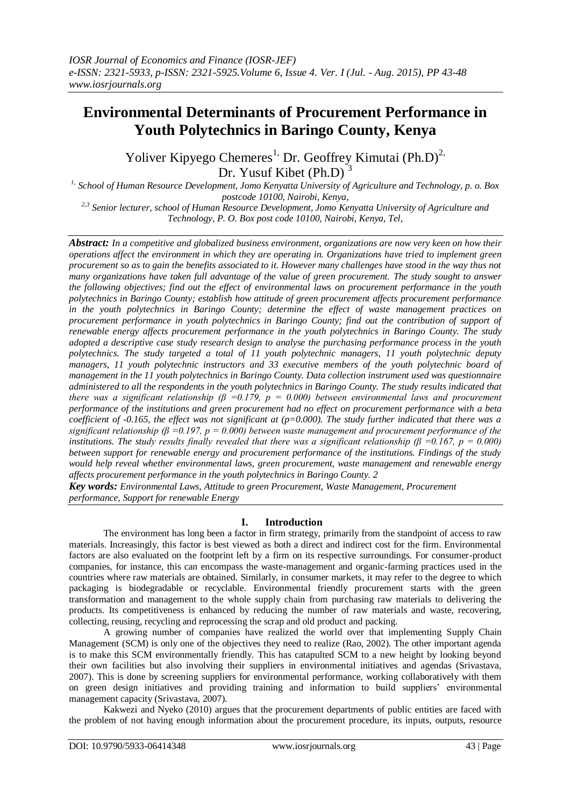# **Environmental Determinants of Procurement Performance in Youth Polytechnics in Baringo County, Kenya**

Yoliver Kipyego Chemeres<sup>1,</sup> Dr. Geoffrey Kimutai (Ph.D)<sup>2,</sup> Dr. Yusuf Kibet  $(Ph.D)$ 

*1, School of Human Resource Development, Jomo Kenyatta University of Agriculture and Technology, p. o. Box postcode 10100, Nairobi, Kenya*,

*2,3 Senior lecturer, school of Human Resource Development, Jomo Kenyatta University of Agriculture and Technology, P. O. Box post code 10100, Nairobi, Kenya, Tel,*

*Abstract: In a competitive and globalized business environment, organizations are now very keen on how their operations affect the environment in which they are operating in. Organizations have tried to implement green procurement so as to gain the benefits associated to it. However many challenges have stood in the way thus not many organizations have taken full advantage of the value of green procurement. The study sought to answer the following objectives; find out the effect of environmental laws on procurement performance in the youth polytechnics in Baringo County; establish how attitude of green procurement affects procurement performance in the youth polytechnics in Baringo County; determine the effect of waste management practices on procurement performance in youth polytechnics in Baringo County; find out the contribution of support of renewable energy affects procurement performance in the youth polytechnics in Baringo County. The study adopted a descriptive case study research design to analyse the purchasing performance process in the youth polytechnics. The study targeted a total of 11 youth polytechnic managers, 11 youth polytechnic deputy managers, 11 youth polytechnic instructors and 33 executive members of the youth polytechnic board of management in the 11 youth polytechnics in Baringo County. Data collection instrument used was questionnaire administered to all the respondents in the youth polytechnics in Baringo County. The study results indicated that there was a significant relationship (β =0.179, p = 0.000) between environmental laws and procurement performance of the institutions and green procurement had no effect on procurement performance with a beta coefficient of -0.165, the effect was not significant at (p=0.000). The study further indicated that there was a significant relationship (β = 0.197, p = 0.000) between waste management and procurement performance of the institutions. The study results finally revealed that there was a significant relationship (β =0.167, p = 0.000) between support for renewable energy and procurement performance of the institutions. Findings of the study would help reveal whether environmental laws, green procurement, waste management and renewable energy affects procurement performance in the youth polytechnics in Baringo County. 2* 

*Key words: Environmental Laws, Attitude to green Procurement, Waste Management, Procurement performance, Support for renewable Energy* 

## **I. Introduction**

The environment has long been a factor in firm strategy, primarily from the standpoint of access to raw materials. Increasingly, this factor is best viewed as both a direct and indirect cost for the firm. Environmental factors are also evaluated on the footprint left by a firm on its respective surroundings. For consumer-product companies, for instance, this can encompass the waste-management and organic-farming practices used in the countries where raw materials are obtained. Similarly, in consumer markets, it may refer to the degree to which packaging is biodegradable or recyclable. Environmental friendly procurement starts with the green transformation and management to the whole supply chain from purchasing raw materials to delivering the products. Its competitiveness is enhanced by reducing the number of raw materials and waste, recovering, collecting, reusing, recycling and reprocessing the scrap and old product and packing.

A growing number of companies have realized the world over that implementing Supply Chain Management (SCM) is only one of the objectives they need to realize (Rao, 2002). The other important agenda is to make this SCM environmentally friendly. This has catapulted SCM to a new height by looking beyond their own facilities but also involving their suppliers in environmental initiatives and agendas (Srivastava, 2007). This is done by screening suppliers for environmental performance, working collaboratively with them on green design initiatives and providing training and information to build suppliers" environmental management capacity (Srivastava, 2007).

Kakwezi and Nyeko (2010) argues that the procurement departments of public entities are faced with the problem of not having enough information about the procurement procedure, its inputs, outputs, resource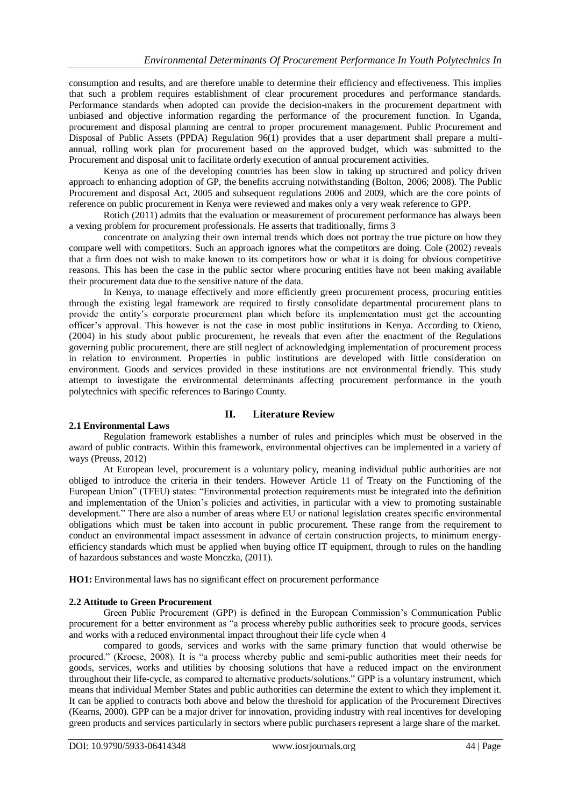consumption and results, and are therefore unable to determine their efficiency and effectiveness. This implies that such a problem requires establishment of clear procurement procedures and performance standards. Performance standards when adopted can provide the decision-makers in the procurement department with unbiased and objective information regarding the performance of the procurement function. In Uganda, procurement and disposal planning are central to proper procurement management. Public Procurement and Disposal of Public Assets (PPDA) Regulation 96(1) provides that a user department shall prepare a multiannual, rolling work plan for procurement based on the approved budget, which was submitted to the Procurement and disposal unit to facilitate orderly execution of annual procurement activities.

Kenya as one of the developing countries has been slow in taking up structured and policy driven approach to enhancing adoption of GP, the benefits accruing notwithstanding (Bolton, 2006; 2008). The Public Procurement and disposal Act, 2005 and subsequent regulations 2006 and 2009, which are the core points of reference on public procurement in Kenya were reviewed and makes only a very weak reference to GPP.

Rotich (2011) admits that the evaluation or measurement of procurement performance has always been a vexing problem for procurement professionals. He asserts that traditionally, firms 3

concentrate on analyzing their own internal trends which does not portray the true picture on how they compare well with competitors. Such an approach ignores what the competitors are doing. Cole (2002) reveals that a firm does not wish to make known to its competitors how or what it is doing for obvious competitive reasons. This has been the case in the public sector where procuring entities have not been making available their procurement data due to the sensitive nature of the data.

In Kenya, to manage effectively and more efficiently green procurement process, procuring entities through the existing legal framework are required to firstly consolidate departmental procurement plans to provide the entity"s corporate procurement plan which before its implementation must get the accounting officer"s approval. This however is not the case in most public institutions in Kenya. According to Otieno, (2004) in his study about public procurement, he reveals that even after the enactment of the Regulations governing public procurement, there are still neglect of acknowledging implementation of procurement process in relation to environment. Properties in public institutions are developed with little consideration on environment. Goods and services provided in these institutions are not environmental friendly. This study attempt to investigate the environmental determinants affecting procurement performance in the youth polytechnics with specific references to Baringo County.

## **II. Literature Review**

## **2.1 Environmental Laws**

Regulation framework establishes a number of rules and principles which must be observed in the award of public contracts. Within this framework, environmental objectives can be implemented in a variety of ways (Preuss, 2012)

At European level, procurement is a voluntary policy, meaning individual public authorities are not obliged to introduce the criteria in their tenders. However Article 11 of Treaty on the Functioning of the European Union" (TFEU) states: "Environmental protection requirements must be integrated into the definition and implementation of the Union"s policies and activities, in particular with a view to promoting sustainable development." There are also a number of areas where EU or national legislation creates specific environmental obligations which must be taken into account in public procurement. These range from the requirement to conduct an environmental impact assessment in advance of certain construction projects, to minimum energyefficiency standards which must be applied when buying office IT equipment, through to rules on the handling of hazardous substances and waste Monczka, (2011).

**HO1:** Environmental laws has no significant effect on procurement performance

## **2.2 Attitude to Green Procurement**

Green Public Procurement (GPP) is defined in the European Commission"s Communication Public procurement for a better environment as "a process whereby public authorities seek to procure goods, services and works with a reduced environmental impact throughout their life cycle when 4

compared to goods, services and works with the same primary function that would otherwise be procured." (Kroese, 2008). It is "a process whereby public and semi-public authorities meet their needs for goods, services, works and utilities by choosing solutions that have a reduced impact on the environment throughout their life-cycle, as compared to alternative products/solutions." GPP is a voluntary instrument, which means that individual Member States and public authorities can determine the extent to which they implement it. It can be applied to contracts both above and below the threshold for application of the Procurement Directives (Kearns, 2000). GPP can be a major driver for innovation, providing industry with real incentives for developing green products and services particularly in sectors where public purchasers represent a large share of the market.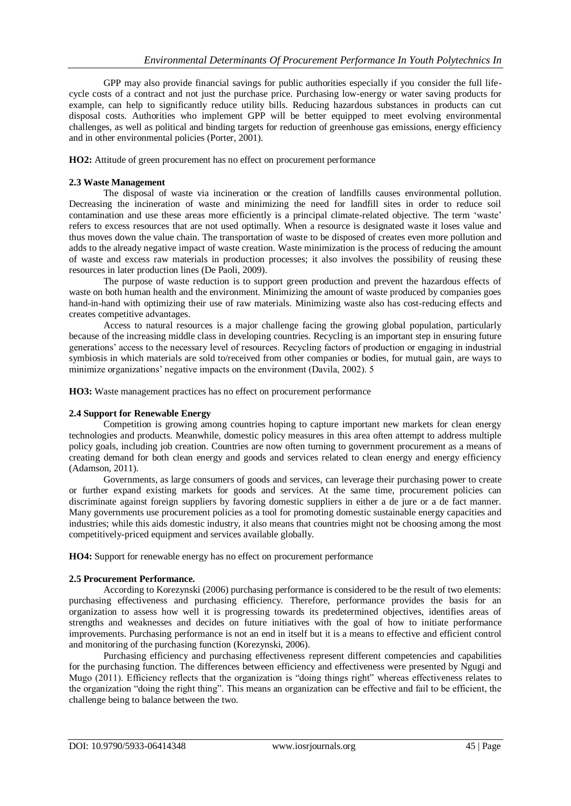GPP may also provide financial savings for public authorities especially if you consider the full lifecycle costs of a contract and not just the purchase price. Purchasing low-energy or water saving products for example, can help to significantly reduce utility bills. Reducing hazardous substances in products can cut disposal costs. Authorities who implement GPP will be better equipped to meet evolving environmental challenges, as well as political and binding targets for reduction of greenhouse gas emissions, energy efficiency and in other environmental policies (Porter, 2001).

**HO2:** Attitude of green procurement has no effect on procurement performance

#### **2.3 Waste Management**

The disposal of waste via incineration or the creation of landfills causes environmental pollution. Decreasing the incineration of waste and minimizing the need for landfill sites in order to reduce soil contamination and use these areas more efficiently is a principal climate-related objective. The term "waste" refers to excess resources that are not used optimally. When a resource is designated waste it loses value and thus moves down the value chain. The transportation of waste to be disposed of creates even more pollution and adds to the already negative impact of waste creation. Waste minimization is the process of reducing the amount of waste and excess raw materials in production processes; it also involves the possibility of reusing these resources in later production lines (De Paoli, 2009).

The purpose of waste reduction is to support green production and prevent the hazardous effects of waste on both human health and the environment. Minimizing the amount of waste produced by companies goes hand-in-hand with optimizing their use of raw materials. Minimizing waste also has cost-reducing effects and creates competitive advantages.

Access to natural resources is a major challenge facing the growing global population, particularly because of the increasing middle class in developing countries. Recycling is an important step in ensuring future generations" access to the necessary level of resources. Recycling factors of production or engaging in industrial symbiosis in which materials are sold to/received from other companies or bodies, for mutual gain, are ways to minimize organizations' negative impacts on the environment (Davila, 2002). 5

**HO3:** Waste management practices has no effect on procurement performance

## **2.4 Support for Renewable Energy**

Competition is growing among countries hoping to capture important new markets for clean energy technologies and products. Meanwhile, domestic policy measures in this area often attempt to address multiple policy goals, including job creation. Countries are now often turning to government procurement as a means of creating demand for both clean energy and goods and services related to clean energy and energy efficiency (Adamson, 2011).

Governments, as large consumers of goods and services, can leverage their purchasing power to create or further expand existing markets for goods and services. At the same time, procurement policies can discriminate against foreign suppliers by favoring domestic suppliers in either a de jure or a de fact manner. Many governments use procurement policies as a tool for promoting domestic sustainable energy capacities and industries; while this aids domestic industry, it also means that countries might not be choosing among the most competitively-priced equipment and services available globally.

**HO4:** Support for renewable energy has no effect on procurement performance

## **2.5 Procurement Performance.**

According to Korezynski (2006) purchasing performance is considered to be the result of two elements: purchasing effectiveness and purchasing efficiency. Therefore, performance provides the basis for an organization to assess how well it is progressing towards its predetermined objectives, identifies areas of strengths and weaknesses and decides on future initiatives with the goal of how to initiate performance improvements. Purchasing performance is not an end in itself but it is a means to effective and efficient control and monitoring of the purchasing function (Korezynski, 2006).

Purchasing efficiency and purchasing effectiveness represent different competencies and capabilities for the purchasing function. The differences between efficiency and effectiveness were presented by Ngugi and Mugo (2011). Efficiency reflects that the organization is "doing things right" whereas effectiveness relates to the organization "doing the right thing". This means an organization can be effective and fail to be efficient, the challenge being to balance between the two.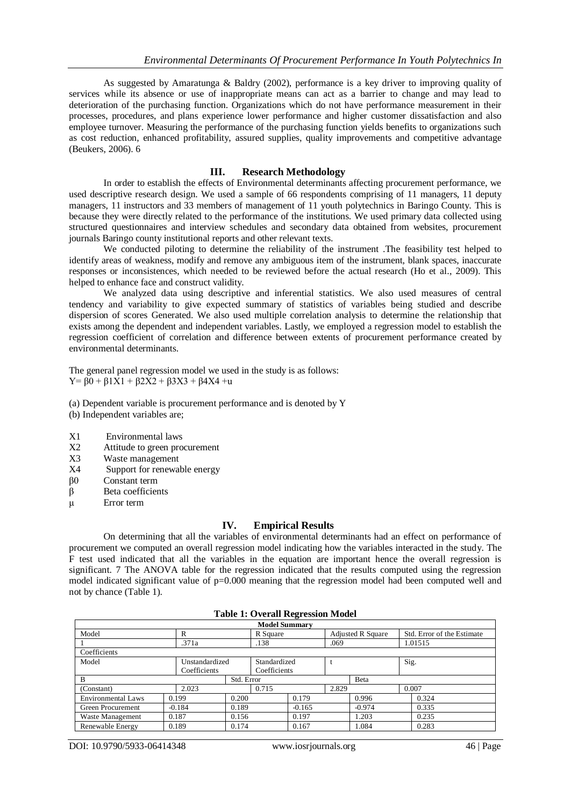As suggested by Amaratunga & Baldry (2002), performance is a key driver to improving quality of services while its absence or use of inappropriate means can act as a barrier to change and may lead to deterioration of the purchasing function. Organizations which do not have performance measurement in their processes, procedures, and plans experience lower performance and higher customer dissatisfaction and also employee turnover. Measuring the performance of the purchasing function yields benefits to organizations such as cost reduction, enhanced profitability, assured supplies, quality improvements and competitive advantage (Beukers, 2006). 6

#### **III. Research Methodology**

In order to establish the effects of Environmental determinants affecting procurement performance, we used descriptive research design. We used a sample of 66 respondents comprising of 11 managers, 11 deputy managers, 11 instructors and 33 members of management of 11 youth polytechnics in Baringo County. This is because they were directly related to the performance of the institutions. We used primary data collected using structured questionnaires and interview schedules and secondary data obtained from websites, procurement journals Baringo county institutional reports and other relevant texts.

We conducted piloting to determine the reliability of the instrument .The feasibility test helped to identify areas of weakness, modify and remove any ambiguous item of the instrument, blank spaces, inaccurate responses or inconsistences, which needed to be reviewed before the actual research (Ho et al., 2009). This helped to enhance face and construct validity.

We analyzed data using descriptive and inferential statistics. We also used measures of central tendency and variability to give expected summary of statistics of variables being studied and describe dispersion of scores Generated. We also used multiple correlation analysis to determine the relationship that exists among the dependent and independent variables. Lastly, we employed a regression model to establish the regression coefficient of correlation and difference between extents of procurement performance created by environmental determinants.

The general panel regression model we used in the study is as follows: Y=  $\beta$ 0 +  $\beta$ 1X1 +  $\beta$ 2X2 +  $\beta$ 3X3 +  $\beta$ 4X4 +u

(a) Dependent variable is procurement performance and is denoted by Y

- (b) Independent variables are;
- X1 Environmental laws
- X2 Attitude to green procurement
- X3 Waste management
- X4 Support for renewable energy
- β0 Constant term
- β Beta coefficients
- μ Error term

#### **IV. Empirical Results**

On determining that all the variables of environmental determinants had an effect on performance of procurement we computed an overall regression model indicating how the variables interacted in the study. The F test used indicated that all the variables in the equation are important hence the overall regression is significant. 7 The ANOVA table for the regression indicated that the results computed using the regression model indicated significant value of p=0.000 meaning that the regression model had been computed well and not by chance (Table 1).

#### **Table 1: Overall Regression Model**

| <b>Model Summary</b>      |                |            |              |          |                          |          |                            |  |
|---------------------------|----------------|------------|--------------|----------|--------------------------|----------|----------------------------|--|
| Model                     | R              |            | R Square     |          | <b>Adjusted R Square</b> |          | Std. Error of the Estimate |  |
|                           | .371a          |            | .138         |          | .069                     |          | 1.01515                    |  |
| Coefficients              |                |            |              |          |                          |          |                            |  |
| Model                     | Unstandardized |            | Standardized |          |                          |          | Sig.                       |  |
|                           | Coefficients   |            | Coefficients |          |                          |          |                            |  |
| B                         |                | Std. Error |              |          |                          | Beta     |                            |  |
| (Constant)                | 2.023          |            | 0.715        |          | 2.829                    |          | 0.007                      |  |
| <b>Environmental Laws</b> | 0.199          | 0.200      |              | 0.179    |                          | 0.996    | 0.324                      |  |
| Green Procurement         | $-0.184$       | 0.189      |              | $-0.165$ |                          | $-0.974$ | 0.335                      |  |
| Waste Management          | 0.187          | 0.156      |              | 0.197    |                          | 1.203    | 0.235                      |  |
| Renewable Energy          | 0.189          | 0.174      |              | 0.167    |                          | 1.084    | 0.283                      |  |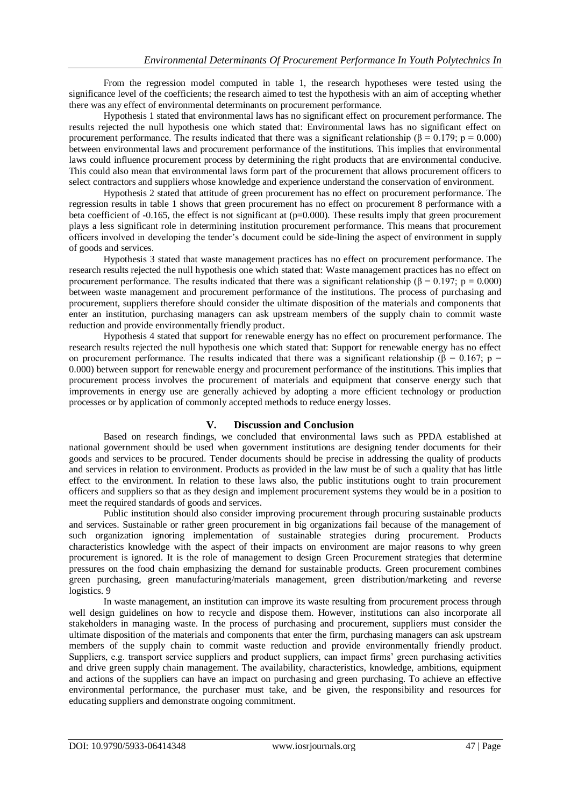From the regression model computed in table 1, the research hypotheses were tested using the significance level of the coefficients; the research aimed to test the hypothesis with an aim of accepting whether there was any effect of environmental determinants on procurement performance.

Hypothesis 1 stated that environmental laws has no significant effect on procurement performance. The results rejected the null hypothesis one which stated that: Environmental laws has no significant effect on procurement performance. The results indicated that there was a significant relationship (β = 0.179; p = 0.000) between environmental laws and procurement performance of the institutions. This implies that environmental laws could influence procurement process by determining the right products that are environmental conducive. This could also mean that environmental laws form part of the procurement that allows procurement officers to select contractors and suppliers whose knowledge and experience understand the conservation of environment.

Hypothesis 2 stated that attitude of green procurement has no effect on procurement performance. The regression results in table 1 shows that green procurement has no effect on procurement 8 performance with a beta coefficient of -0.165, the effect is not significant at (p=0.000). These results imply that green procurement plays a less significant role in determining institution procurement performance. This means that procurement officers involved in developing the tender"s document could be side-lining the aspect of environment in supply of goods and services.

Hypothesis 3 stated that waste management practices has no effect on procurement performance. The research results rejected the null hypothesis one which stated that: Waste management practices has no effect on procurement performance. The results indicated that there was a significant relationship ( $\beta = 0.197$ ; p = 0.000) between waste management and procurement performance of the institutions. The process of purchasing and procurement, suppliers therefore should consider the ultimate disposition of the materials and components that enter an institution, purchasing managers can ask upstream members of the supply chain to commit waste reduction and provide environmentally friendly product.

Hypothesis 4 stated that support for renewable energy has no effect on procurement performance. The research results rejected the null hypothesis one which stated that: Support for renewable energy has no effect on procurement performance. The results indicated that there was a significant relationship ( $\beta = 0.167$ ; p = 0.000) between support for renewable energy and procurement performance of the institutions. This implies that procurement process involves the procurement of materials and equipment that conserve energy such that improvements in energy use are generally achieved by adopting a more efficient technology or production processes or by application of commonly accepted methods to reduce energy losses.

#### **V. Discussion and Conclusion**

Based on research findings, we concluded that environmental laws such as PPDA established at national government should be used when government institutions are designing tender documents for their goods and services to be procured. Tender documents should be precise in addressing the quality of products and services in relation to environment. Products as provided in the law must be of such a quality that has little effect to the environment. In relation to these laws also, the public institutions ought to train procurement officers and suppliers so that as they design and implement procurement systems they would be in a position to meet the required standards of goods and services.

Public institution should also consider improving procurement through procuring sustainable products and services. Sustainable or rather green procurement in big organizations fail because of the management of such organization ignoring implementation of sustainable strategies during procurement. Products characteristics knowledge with the aspect of their impacts on environment are major reasons to why green procurement is ignored. It is the role of management to design Green Procurement strategies that determine pressures on the food chain emphasizing the demand for sustainable products. Green procurement combines green purchasing, green manufacturing/materials management, green distribution/marketing and reverse logistics. 9

In waste management, an institution can improve its waste resulting from procurement process through well design guidelines on how to recycle and dispose them. However, institutions can also incorporate all stakeholders in managing waste. In the process of purchasing and procurement, suppliers must consider the ultimate disposition of the materials and components that enter the firm, purchasing managers can ask upstream members of the supply chain to commit waste reduction and provide environmentally friendly product. Suppliers, e.g. transport service suppliers and product suppliers, can impact firms' green purchasing activities and drive green supply chain management. The availability, characteristics, knowledge, ambitions, equipment and actions of the suppliers can have an impact on purchasing and green purchasing. To achieve an effective environmental performance, the purchaser must take, and be given, the responsibility and resources for educating suppliers and demonstrate ongoing commitment.